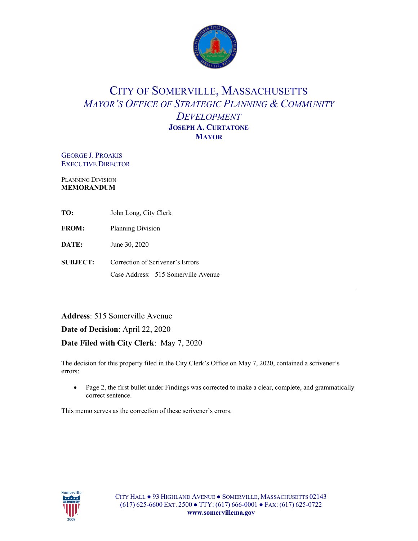

## CITY OF SOMERVILLE, MASSACHUSETTS *MAYOR'S OFFICE OF STRATEGIC PLANNING & COMMUNITY DEVELOPMENT* **JOSEPH A. CURTATONE MAYOR**

GEORGE J. PROAKIS EXECUTIVE DIRECTOR

PLANNING DIVISION **MEMORANDUM**

|  | John Long, City Clerk |
|--|-----------------------|

**FROM:** Planning Division

**DATE:** June 30, 2020

**SUBJECT:** Correction of Scrivener's Errors Case Address:515 Somerville Avenue

**Address**: 515 Somerville Avenue

**Date of Decision**: April 22, 2020

**Date Filed with City Clerk**: May 7, 2020

The decision for this property filed in the City Clerk's Office on May 7, 2020, contained a scrivener's errors:

• Page 2, the first bullet under Findings was corrected to make a clear, complete, and grammatically correct sentence.

This memo serves as the correction of these scrivener's errors.

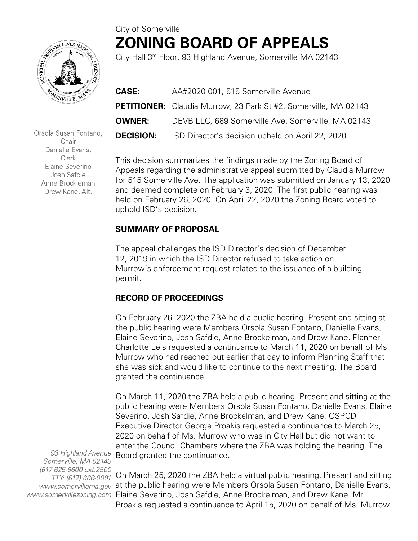# City of Somerville **ZONING BOARD OF APPEALS**



Orsola Susan Fontano, Chair Danielle Evans, Clerk Elaine Severino Josh Safdie Anne Brockleman Drew Kane, Alt.

City Hall 3rd Floor, 93 Highland Avenue, Somerville MA 02143

| <b>CASE:</b>     | AA#2020-001, 515 Somerville Avenue                                     |
|------------------|------------------------------------------------------------------------|
|                  | <b>PETITIONER:</b> Claudia Murrow, 23 Park St #2, Somerville, MA 02143 |
| OWNER:           | DEVB LLC, 689 Somerville Ave, Somerville, MA 02143                     |
| <b>DECISION:</b> | ISD Director's decision upheld on April 22, 2020                       |

This decision summarizes the findings made by the Zoning Board of Appeals regarding the administrative appeal submitted by Claudia Murrow for 515 Somerville Ave. The application was submitted on January 13, 2020 and deemed complete on February 3, 2020. The first public hearing was held on February 26, 2020. On April 22, 2020 the Zoning Board voted to uphold ISD's decision.

#### **SUMMARY OF PROPOSAL**

The appeal challenges the ISD Director's decision of December 12, 2019 in which the ISD Director refused to take action on Murrow's enforcement request related to the issuance of a building permit.

### **RECORD OF PROCEEDINGS**

On February 26, 2020 the ZBA held a public hearing. Present and sitting at the public hearing were Members Orsola Susan Fontano, Danielle Evans, Elaine Severino, Josh Safdie, Anne Brockelman, and Drew Kane. Planner Charlotte Leis requested a continuance to March 11, 2020 on behalf of Ms. Murrow who had reached out earlier that day to inform Planning Staff that she was sick and would like to continue to the next meeting. The Board granted the continuance.

On March 11, 2020 the ZBA held a public hearing. Present and sitting at the public hearing were Members Orsola Susan Fontano, Danielle Evans, Elaine Severino, Josh Safdie, Anne Brockelman, and Drew Kane. OSPCD Executive Director George Proakis requested a continuance to March 25, 2020 on behalf of Ms. Murrow who was in City Hall but did not want to enter the Council Chambers where the ZBA was holding the hearing. The Board granted the continuance.

93 Highland Avenue Somerville, MA 02143 (617-625-6600 ext.2500 TTY: (617) 666-0001

On March 25, 2020 the ZBA held a virtual public hearing. Present and sitting www.somervillema.gov at the public hearing were Members Orsola Susan Fontano, Danielle Evans, www.somervillezoning.com Elaine Severino, Josh Safdie, Anne Brockelman, and Drew Kane. Mr. Proakis requested a continuance to April 15, 2020 on behalf of Ms. Murrow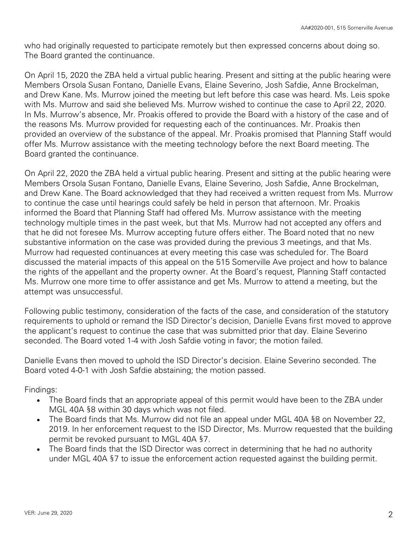who had originally requested to participate remotely but then expressed concerns about doing so. The Board granted the continuance.

On April 15, 2020 the ZBA held a virtual public hearing. Present and sitting at the public hearing were Members Orsola Susan Fontano, Danielle Evans, Elaine Severino, Josh Safdie, Anne Brockelman, and Drew Kane. Ms. Murrow joined the meeting but left before this case was heard. Ms. Leis spoke with Ms. Murrow and said she believed Ms. Murrow wished to continue the case to April 22, 2020. In Ms. Murrow's absence, Mr. Proakis offered to provide the Board with a history of the case and of the reasons Ms. Murrow provided for requesting each of the continuances. Mr. Proakis then provided an overview of the substance of the appeal. Mr. Proakis promised that Planning Staff would offer Ms. Murrow assistance with the meeting technology before the next Board meeting. The Board granted the continuance.

On April 22, 2020 the ZBA held a virtual public hearing. Present and sitting at the public hearing were Members Orsola Susan Fontano, Danielle Evans, Elaine Severino, Josh Safdie, Anne Brockelman, and Drew Kane. The Board acknowledged that they had received a written request from Ms. Murrow to continue the case until hearings could safely be held in person that afternoon. Mr. Proakis informed the Board that Planning Staff had offered Ms. Murrow assistance with the meeting technology multiple times in the past week, but that Ms. Murrow had not accepted any offers and that he did not foresee Ms. Murrow accepting future offers either. The Board noted that no new substantive information on the case was provided during the previous 3 meetings, and that Ms. Murrow had requested continuances at every meeting this case was scheduled for. The Board discussed the material impacts of this appeal on the 515 Somerville Ave project and how to balance the rights of the appellant and the property owner. At the Board's request, Planning Staff contacted Ms. Murrow one more time to offer assistance and get Ms. Murrow to attend a meeting, but the attempt was unsuccessful.

Following public testimony, consideration of the facts of the case, and consideration of the statutory requirements to uphold or remand the ISD Director's decision, Danielle Evans first moved to approve the applicant's request to continue the case that was submitted prior that day. Elaine Severino seconded. The Board voted 1-4 with Josh Safdie voting in favor; the motion failed.

Danielle Evans then moved to uphold the ISD Director's decision. Elaine Severino seconded. The Board voted 4-0-1 with Josh Safdie abstaining; the motion passed.

Findings:

- The Board finds that an appropriate appeal of this permit would have been to the ZBA under MGL 40A §8 within 30 days which was not filed.
- The Board finds that Ms. Murrow did not file an appeal under MGL 40A §8 on November 22, 2019. In her enforcement request to the ISD Director, Ms. Murrow requested that the building permit be revoked pursuant to MGL 40A §7.
- The Board finds that the ISD Director was correct in determining that he had no authority under MGL 40A §7 to issue the enforcement action requested against the building permit.